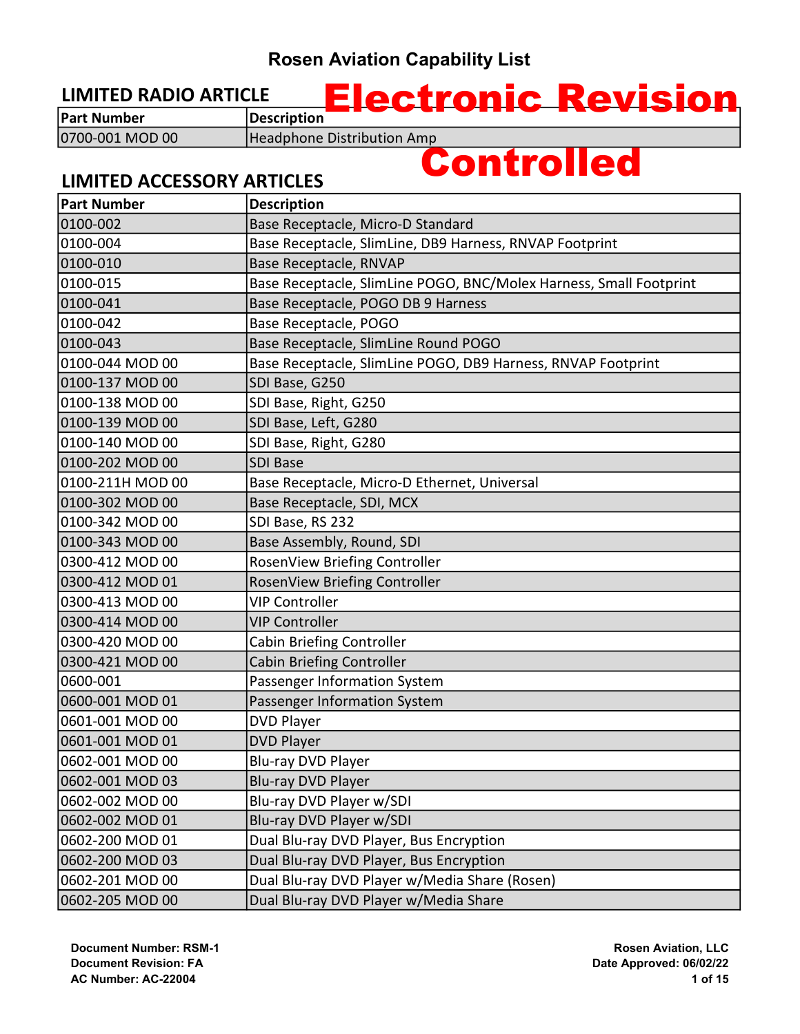#### LIMITED RADIO ARTICLE

LIMITED ACCESSORY ARTICLES

Part Number Description 0700-001 MOD 00 | Headphone Distribution Amp

# Controlled

Electronic Revision

#### Part Number Description 0100-002 Base Receptacle, Micro-D Standard 0100-004 Base Receptacle, SlimLine, DB9 Harness, RNVAP Footprint 0100-010 **Base Receptacle, RNVAP** 0100-015 Base Receptacle, SlimLine POGO, BNC/Molex Harness, Small Footprint 0100-041 Base Receptacle, POGO DB 9 Harness 0100-042 Base Receptacle, POGO 0100-043 Base Receptacle, SlimLine Round POGO 0100-044 MOD 00 Base Receptacle, SlimLine POGO, DB9 Harness, RNVAP Footprint 0100-137 MOD 00 SDI Base, G250 0100-138 MOD 00 SDI Base, Right, G250 0100-139 MOD 00 SDI Base, Left, G280 0100-140 MOD 00 SDI Base, Right, G280 0100-202 MOD 00 SDI Base 0100-211H MOD 00 Base Receptacle, Micro-D Ethernet, Universal 0100-302 MOD 00 Base Receptacle, SDI, MCX 0100-342 MOD 00 SDI Base, RS 232 0100-343 MOD 00 Base Assembly, Round, SDI 0300-412 MOD 00 RosenView Briefing Controller 0300-412 MOD 01 RosenView Briefing Controller 0300-413 MOD 00 VIP Controller 0300-414 MOD 00 VIP Controller 0300-420 MOD 00 Cabin Briefing Controller 0300-421 MOD 00 Cabin Briefing Controller 0600-001 Passenger Information System 0600-001 MOD 01 Passenger Information System 0601-001 MOD 00 DVD Player 0601-001 MOD 01 DVD Player 0602-001 MOD 00 |Blu-ray DVD Player 0602-001 MOD 03 Blu-ray DVD Player 0602-002 MOD 00 Blu-ray DVD Player w/SDI 0602-002 MOD 01 Blu-ray DVD Player w/SDI 0602-200 MOD 01 Dual Blu-ray DVD Player, Bus Encryption 0602-200 MOD 03 **Dual Blu-ray DVD Player, Bus Encryption** 0602-201 MOD 00 | Dual Blu-ray DVD Player w/Media Share (Rosen) 0602-205 MOD 00 **Dual Blu-ray DVD Player w/Media Share**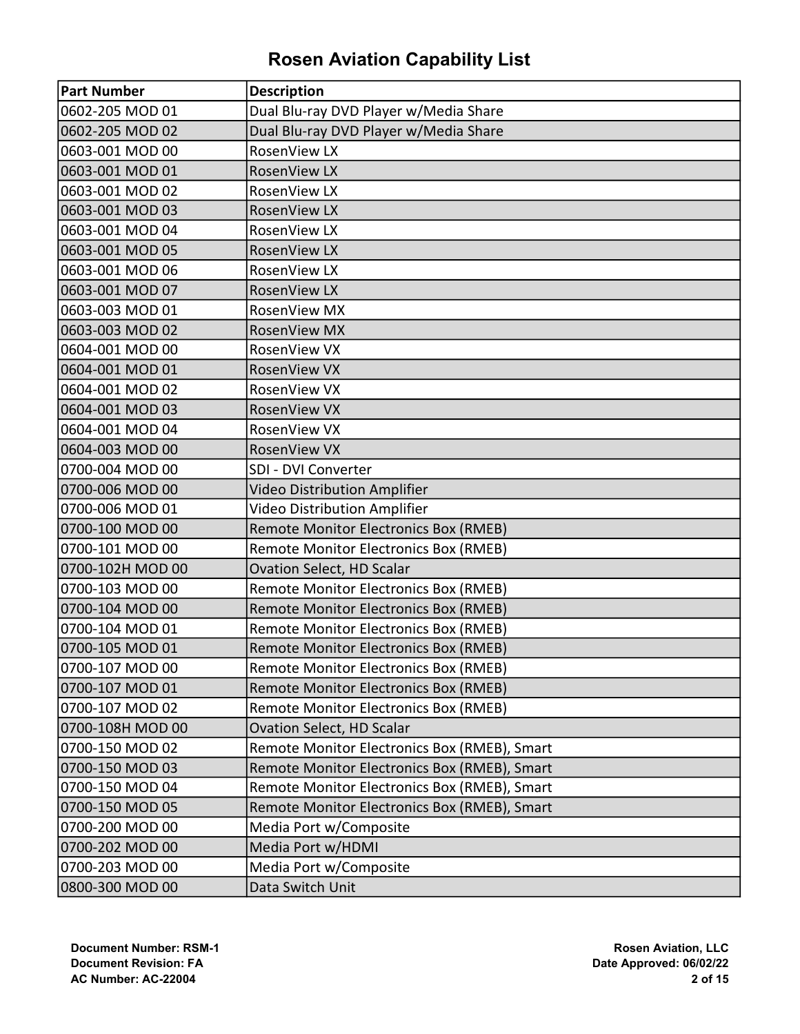| <b>Part Number</b> | <b>Description</b>                           |
|--------------------|----------------------------------------------|
| 0602-205 MOD 01    | Dual Blu-ray DVD Player w/Media Share        |
| 0602-205 MOD 02    | Dual Blu-ray DVD Player w/Media Share        |
| 0603-001 MOD 00    | RosenView LX                                 |
| 0603-001 MOD 01    | <b>RosenView LX</b>                          |
| 0603-001 MOD 02    | RosenView LX                                 |
| 0603-001 MOD 03    | RosenView LX                                 |
| 0603-001 MOD 04    | RosenView LX                                 |
| 0603-001 MOD 05    | RosenView LX                                 |
| 0603-001 MOD 06    | RosenView LX                                 |
| 0603-001 MOD 07    | RosenView LX                                 |
| 0603-003 MOD 01    | RosenView MX                                 |
| 0603-003 MOD 02    | <b>RosenView MX</b>                          |
| 0604-001 MOD 00    | RosenView VX                                 |
| 0604-001 MOD 01    | <b>RosenView VX</b>                          |
| 0604-001 MOD 02    | RosenView VX                                 |
| 0604-001 MOD 03    | RosenView VX                                 |
| 0604-001 MOD 04    | RosenView VX                                 |
| 0604-003 MOD 00    | RosenView VX                                 |
| 0700-004 MOD 00    | SDI - DVI Converter                          |
| 0700-006 MOD 00    | <b>Video Distribution Amplifier</b>          |
| 0700-006 MOD 01    | Video Distribution Amplifier                 |
| 0700-100 MOD 00    | <b>Remote Monitor Electronics Box (RMEB)</b> |
| 0700-101 MOD 00    | <b>Remote Monitor Electronics Box (RMEB)</b> |
| 0700-102H MOD 00   | Ovation Select, HD Scalar                    |
| 0700-103 MOD 00    | <b>Remote Monitor Electronics Box (RMEB)</b> |
| 0700-104 MOD 00    | <b>Remote Monitor Electronics Box (RMEB)</b> |
| 0700-104 MOD 01    | <b>Remote Monitor Electronics Box (RMEB)</b> |
| 0700-105 MOD 01    | <b>Remote Monitor Electronics Box (RMEB)</b> |
| 0700-107 MOD 00    | Remote Monitor Electronics Box (RMEB)        |
| 0700-107 MOD 01    | <b>Remote Monitor Electronics Box (RMEB)</b> |
| 0700-107 MOD 02    | Remote Monitor Electronics Box (RMEB)        |
| 0700-108H MOD 00   | Ovation Select, HD Scalar                    |
| 0700-150 MOD 02    | Remote Monitor Electronics Box (RMEB), Smart |
| 0700-150 MOD 03    | Remote Monitor Electronics Box (RMEB), Smart |
| 0700-150 MOD 04    | Remote Monitor Electronics Box (RMEB), Smart |
| 0700-150 MOD 05    | Remote Monitor Electronics Box (RMEB), Smart |
| 0700-200 MOD 00    | Media Port w/Composite                       |
| 0700-202 MOD 00    | Media Port w/HDMI                            |
| 0700-203 MOD 00    | Media Port w/Composite                       |
| 0800-300 MOD 00    | Data Switch Unit                             |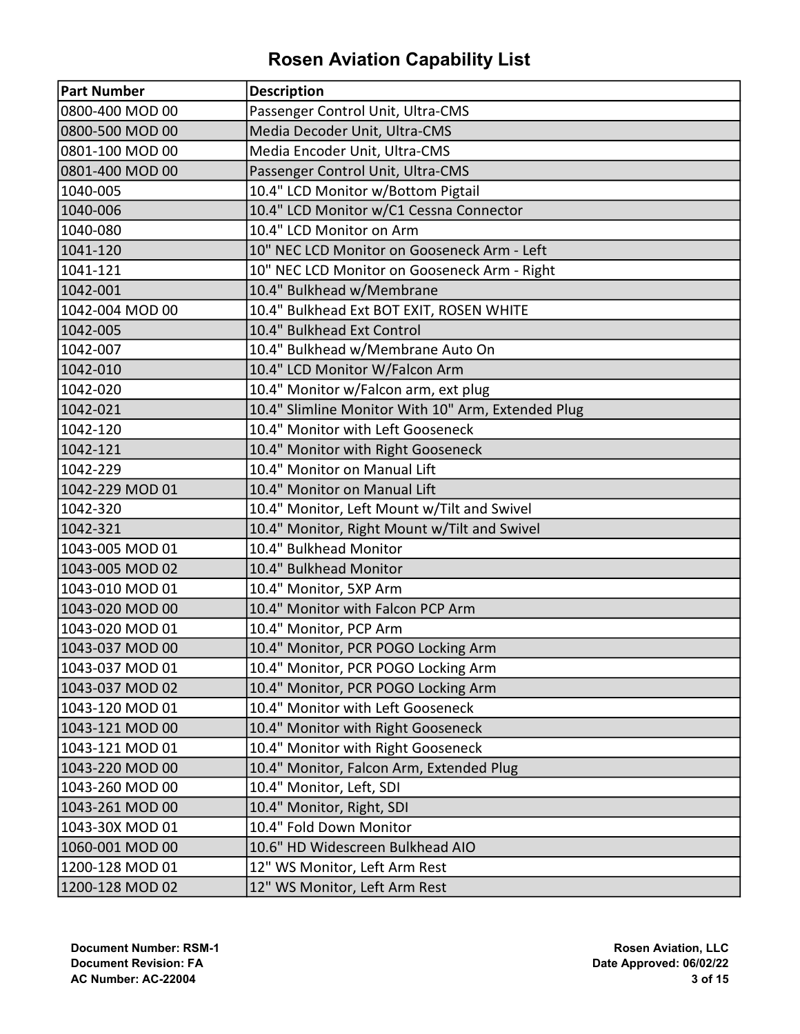| Part Number     | <b>Description</b>                                 |
|-----------------|----------------------------------------------------|
| 0800-400 MOD 00 | Passenger Control Unit, Ultra-CMS                  |
| 0800-500 MOD 00 | Media Decoder Unit, Ultra-CMS                      |
| 0801-100 MOD 00 | Media Encoder Unit, Ultra-CMS                      |
| 0801-400 MOD 00 | Passenger Control Unit, Ultra-CMS                  |
| 1040-005        | 10.4" LCD Monitor w/Bottom Pigtail                 |
| 1040-006        | 10.4" LCD Monitor w/C1 Cessna Connector            |
| 1040-080        | 10.4" LCD Monitor on Arm                           |
| 1041-120        | 10" NEC LCD Monitor on Gooseneck Arm - Left        |
| 1041-121        | 10" NEC LCD Monitor on Gooseneck Arm - Right       |
| 1042-001        | 10.4" Bulkhead w/Membrane                          |
| 1042-004 MOD 00 | 10.4" Bulkhead Ext BOT EXIT, ROSEN WHITE           |
| 1042-005        | 10.4" Bulkhead Ext Control                         |
| 1042-007        | 10.4" Bulkhead w/Membrane Auto On                  |
| 1042-010        | 10.4" LCD Monitor W/Falcon Arm                     |
| 1042-020        | 10.4" Monitor w/Falcon arm, ext plug               |
| 1042-021        | 10.4" Slimline Monitor With 10" Arm, Extended Plug |
| 1042-120        | 10.4" Monitor with Left Gooseneck                  |
| 1042-121        | 10.4" Monitor with Right Gooseneck                 |
| 1042-229        | 10.4" Monitor on Manual Lift                       |
| 1042-229 MOD 01 | 10.4" Monitor on Manual Lift                       |
| 1042-320        | 10.4" Monitor, Left Mount w/Tilt and Swivel        |
| 1042-321        | 10.4" Monitor, Right Mount w/Tilt and Swivel       |
| 1043-005 MOD 01 | 10.4" Bulkhead Monitor                             |
| 1043-005 MOD 02 | 10.4" Bulkhead Monitor                             |
| 1043-010 MOD 01 | 10.4" Monitor, 5XP Arm                             |
| 1043-020 MOD 00 | 10.4" Monitor with Falcon PCP Arm                  |
| 1043-020 MOD 01 | 10.4" Monitor, PCP Arm                             |
| 1043-037 MOD 00 | 10.4" Monitor, PCR POGO Locking Arm                |
| 1043-037 MOD 01 | 10.4" Monitor, PCR POGO Locking Arm                |
| 1043-037 MOD 02 | 10.4" Monitor, PCR POGO Locking Arm                |
| 1043-120 MOD 01 | 10.4" Monitor with Left Gooseneck                  |
| 1043-121 MOD 00 | 10.4" Monitor with Right Gooseneck                 |
| 1043-121 MOD 01 | 10.4" Monitor with Right Gooseneck                 |
| 1043-220 MOD 00 | 10.4" Monitor, Falcon Arm, Extended Plug           |
| 1043-260 MOD 00 | 10.4" Monitor, Left, SDI                           |
| 1043-261 MOD 00 | 10.4" Monitor, Right, SDI                          |
| 1043-30X MOD 01 | 10.4" Fold Down Monitor                            |
| 1060-001 MOD 00 | 10.6" HD Widescreen Bulkhead AIO                   |
| 1200-128 MOD 01 | 12" WS Monitor, Left Arm Rest                      |
| 1200-128 MOD 02 | 12" WS Monitor, Left Arm Rest                      |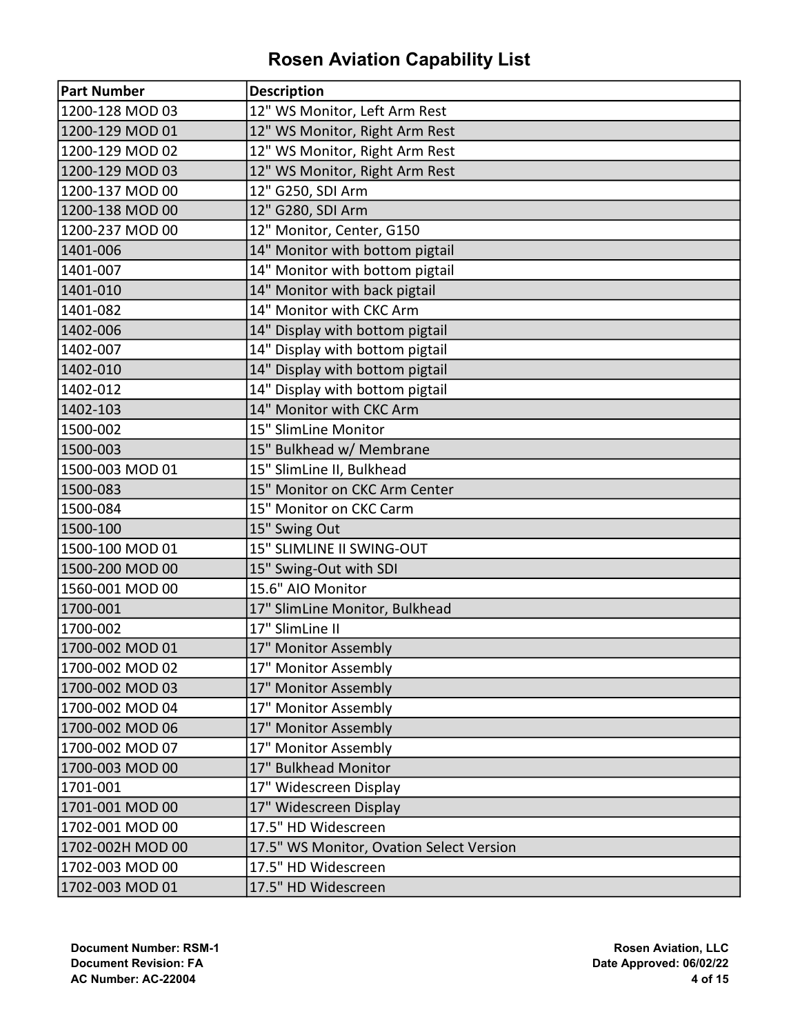| <b>Part Number</b> | <b>Description</b>                       |
|--------------------|------------------------------------------|
| 1200-128 MOD 03    | 12" WS Monitor, Left Arm Rest            |
| 1200-129 MOD 01    | 12" WS Monitor, Right Arm Rest           |
| 1200-129 MOD 02    | 12" WS Monitor, Right Arm Rest           |
| 1200-129 MOD 03    | 12" WS Monitor, Right Arm Rest           |
| 1200-137 MOD 00    | 12" G250, SDI Arm                        |
| 1200-138 MOD 00    | 12" G280, SDI Arm                        |
| 1200-237 MOD 00    | 12" Monitor, Center, G150                |
| 1401-006           | 14" Monitor with bottom pigtail          |
| 1401-007           | 14" Monitor with bottom pigtail          |
| 1401-010           | 14" Monitor with back pigtail            |
| 1401-082           | 14" Monitor with CKC Arm                 |
| 1402-006           | 14" Display with bottom pigtail          |
| 1402-007           | 14" Display with bottom pigtail          |
| 1402-010           | 14" Display with bottom pigtail          |
| 1402-012           | 14" Display with bottom pigtail          |
| 1402-103           | 14" Monitor with CKC Arm                 |
| 1500-002           | 15" SlimLine Monitor                     |
| 1500-003           | 15" Bulkhead w/ Membrane                 |
| 1500-003 MOD 01    | 15" SlimLine II, Bulkhead                |
| 1500-083           | 15" Monitor on CKC Arm Center            |
| 1500-084           | 15" Monitor on CKC Carm                  |
| 1500-100           | 15" Swing Out                            |
| 1500-100 MOD 01    | 15" SLIMLINE II SWING-OUT                |
| 1500-200 MOD 00    | 15" Swing-Out with SDI                   |
| 1560-001 MOD 00    | 15.6" AIO Monitor                        |
| 1700-001           | 17" SlimLine Monitor, Bulkhead           |
| 1700-002           | 17" SlimLine II                          |
| 1700-002 MOD 01    | 17" Monitor Assembly                     |
| 1700-002 MOD 02    | 17" Monitor Assembly                     |
| 1700-002 MOD 03    | 17" Monitor Assembly                     |
| 1700-002 MOD 04    | 17" Monitor Assembly                     |
| 1700-002 MOD 06    | 17" Monitor Assembly                     |
| 1700-002 MOD 07    | 17" Monitor Assembly                     |
| 1700-003 MOD 00    | 17" Bulkhead Monitor                     |
| 1701-001           | 17" Widescreen Display                   |
| 1701-001 MOD 00    | 17" Widescreen Display                   |
| 1702-001 MOD 00    | 17.5" HD Widescreen                      |
| 1702-002H MOD 00   | 17.5" WS Monitor, Ovation Select Version |
| 1702-003 MOD 00    | 17.5" HD Widescreen                      |
| 1702-003 MOD 01    | 17.5" HD Widescreen                      |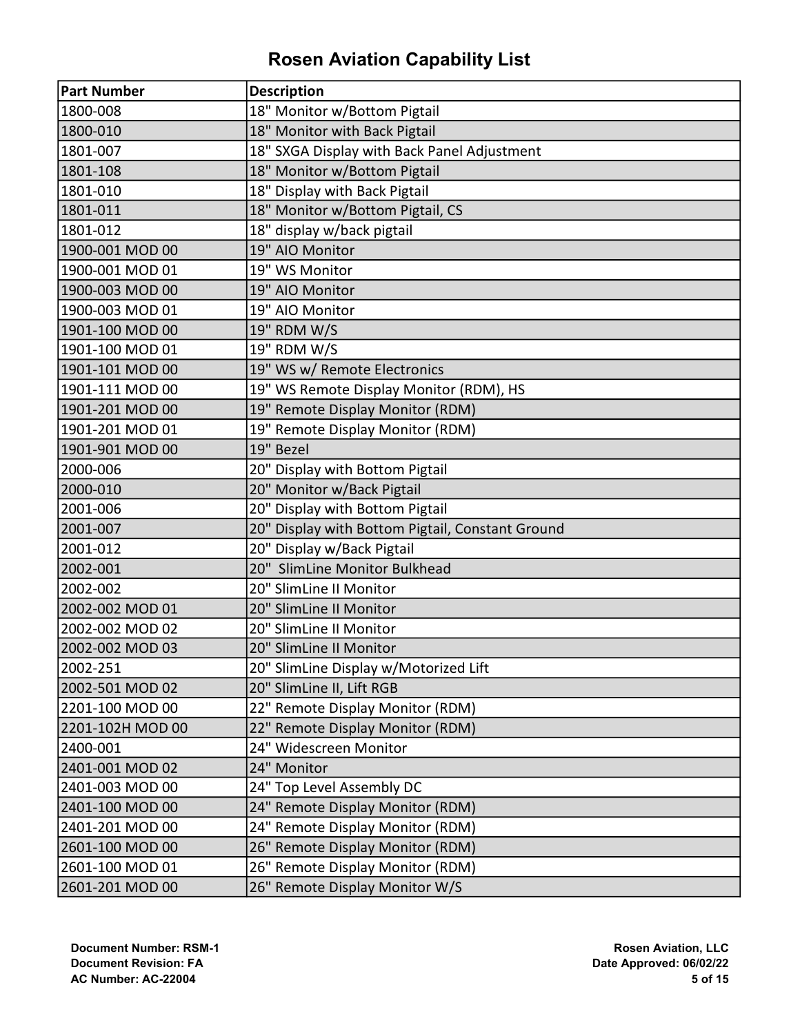| <b>Part Number</b> | <b>Description</b>                               |
|--------------------|--------------------------------------------------|
| 1800-008           | 18" Monitor w/Bottom Pigtail                     |
| 1800-010           | 18" Monitor with Back Pigtail                    |
| 1801-007           | 18" SXGA Display with Back Panel Adjustment      |
| 1801-108           | 18" Monitor w/Bottom Pigtail                     |
| 1801-010           | 18" Display with Back Pigtail                    |
| 1801-011           | 18" Monitor w/Bottom Pigtail, CS                 |
| 1801-012           | 18" display w/back pigtail                       |
| 1900-001 MOD 00    | 19" AIO Monitor                                  |
| 1900-001 MOD 01    | 19" WS Monitor                                   |
| 1900-003 MOD 00    | 19" AIO Monitor                                  |
| 1900-003 MOD 01    | 19" AIO Monitor                                  |
| 1901-100 MOD 00    | 19" RDM W/S                                      |
| 1901-100 MOD 01    | 19" RDM W/S                                      |
| 1901-101 MOD 00    | 19" WS w/ Remote Electronics                     |
| 1901-111 MOD 00    | 19" WS Remote Display Monitor (RDM), HS          |
| 1901-201 MOD 00    | 19" Remote Display Monitor (RDM)                 |
| 1901-201 MOD 01    | 19" Remote Display Monitor (RDM)                 |
| 1901-901 MOD 00    | 19" Bezel                                        |
| 2000-006           | 20" Display with Bottom Pigtail                  |
| 2000-010           | 20" Monitor w/Back Pigtail                       |
| 2001-006           | 20" Display with Bottom Pigtail                  |
| 2001-007           | 20" Display with Bottom Pigtail, Constant Ground |
| 2001-012           | 20" Display w/Back Pigtail                       |
| 2002-001           | 20" SlimLine Monitor Bulkhead                    |
| 2002-002           | 20" SlimLine II Monitor                          |
| 2002-002 MOD 01    | 20" SlimLine II Monitor                          |
| 2002-002 MOD 02    | 20" SlimLine II Monitor                          |
| 2002-002 MOD 03    | 20" SlimLine II Monitor                          |
| 2002-251           | 20" SlimLine Display w/Motorized Lift            |
| 2002-501 MOD 02    | 20" SlimLine II, Lift RGB                        |
| 2201-100 MOD 00    | 22" Remote Display Monitor (RDM)                 |
| 2201-102H MOD 00   | 22" Remote Display Monitor (RDM)                 |
| 2400-001           | 24" Widescreen Monitor                           |
| 2401-001 MOD 02    | 24" Monitor                                      |
| 2401-003 MOD 00    | 24" Top Level Assembly DC                        |
| 2401-100 MOD 00    | 24" Remote Display Monitor (RDM)                 |
| 2401-201 MOD 00    | 24" Remote Display Monitor (RDM)                 |
| 2601-100 MOD 00    | 26" Remote Display Monitor (RDM)                 |
| 2601-100 MOD 01    | 26" Remote Display Monitor (RDM)                 |
| 2601-201 MOD 00    | 26" Remote Display Monitor W/S                   |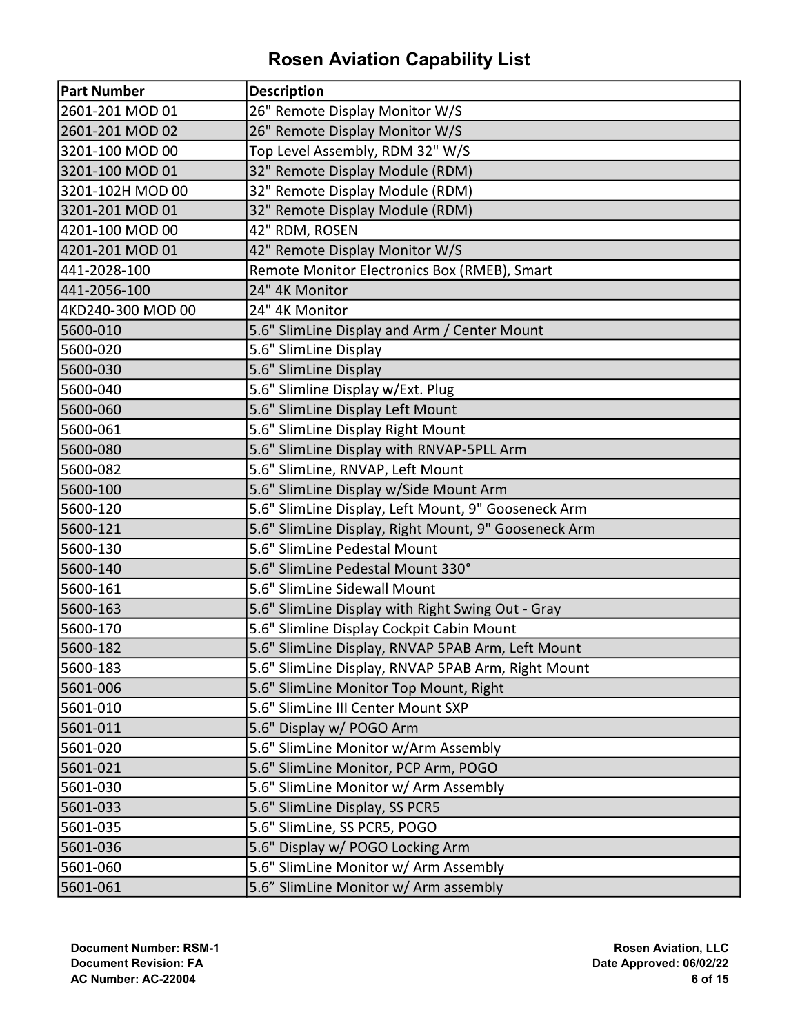| Part Number       | <b>Description</b>                                   |
|-------------------|------------------------------------------------------|
| 2601-201 MOD 01   | 26" Remote Display Monitor W/S                       |
| 2601-201 MOD 02   | 26" Remote Display Monitor W/S                       |
| 3201-100 MOD 00   | Top Level Assembly, RDM 32" W/S                      |
| 3201-100 MOD 01   | 32" Remote Display Module (RDM)                      |
| 3201-102H MOD 00  | 32" Remote Display Module (RDM)                      |
| 3201-201 MOD 01   | 32" Remote Display Module (RDM)                      |
| 4201-100 MOD 00   | 42" RDM, ROSEN                                       |
| 4201-201 MOD 01   | 42" Remote Display Monitor W/S                       |
| 441-2028-100      | Remote Monitor Electronics Box (RMEB), Smart         |
| 441-2056-100      | 24" 4K Monitor                                       |
| 4KD240-300 MOD 00 | 24" 4K Monitor                                       |
| 5600-010          | 5.6" SlimLine Display and Arm / Center Mount         |
| 5600-020          | 5.6" SlimLine Display                                |
| 5600-030          | 5.6" SlimLine Display                                |
| 5600-040          | 5.6" Slimline Display w/Ext. Plug                    |
| 5600-060          | 5.6" SlimLine Display Left Mount                     |
| 5600-061          | 5.6" SlimLine Display Right Mount                    |
| 5600-080          | 5.6" SlimLine Display with RNVAP-5PLL Arm            |
| 5600-082          | 5.6" SlimLine, RNVAP, Left Mount                     |
| 5600-100          | 5.6" SlimLine Display w/Side Mount Arm               |
| 5600-120          | 5.6" SlimLine Display, Left Mount, 9" Gooseneck Arm  |
| 5600-121          | 5.6" SlimLine Display, Right Mount, 9" Gooseneck Arm |
| 5600-130          | 5.6" SlimLine Pedestal Mount                         |
| 5600-140          | 5.6" SlimLine Pedestal Mount 330°                    |
| 5600-161          | 5.6" SlimLine Sidewall Mount                         |
| 5600-163          | 5.6" SlimLine Display with Right Swing Out - Gray    |
| 5600-170          | 5.6" Slimline Display Cockpit Cabin Mount            |
| 5600-182          | 5.6" SlimLine Display, RNVAP 5PAB Arm, Left Mount    |
| 5600-183          | 5.6" SlimLine Display, RNVAP 5PAB Arm, Right Mount   |
| 5601-006          | 5.6" SlimLine Monitor Top Mount, Right               |
| 5601-010          | 5.6" SlimLine III Center Mount SXP                   |
| 5601-011          | 5.6" Display w/ POGO Arm                             |
| 5601-020          | 5.6" SlimLine Monitor w/Arm Assembly                 |
| 5601-021          | 5.6" SlimLine Monitor, PCP Arm, POGO                 |
| 5601-030          | 5.6" SlimLine Monitor w/ Arm Assembly                |
| 5601-033          | 5.6" SlimLine Display, SS PCR5                       |
| 5601-035          | 5.6" SlimLine, SS PCR5, POGO                         |
| 5601-036          | 5.6" Display w/ POGO Locking Arm                     |
| 5601-060          | 5.6" SlimLine Monitor w/ Arm Assembly                |
| 5601-061          | 5.6" SlimLine Monitor w/ Arm assembly                |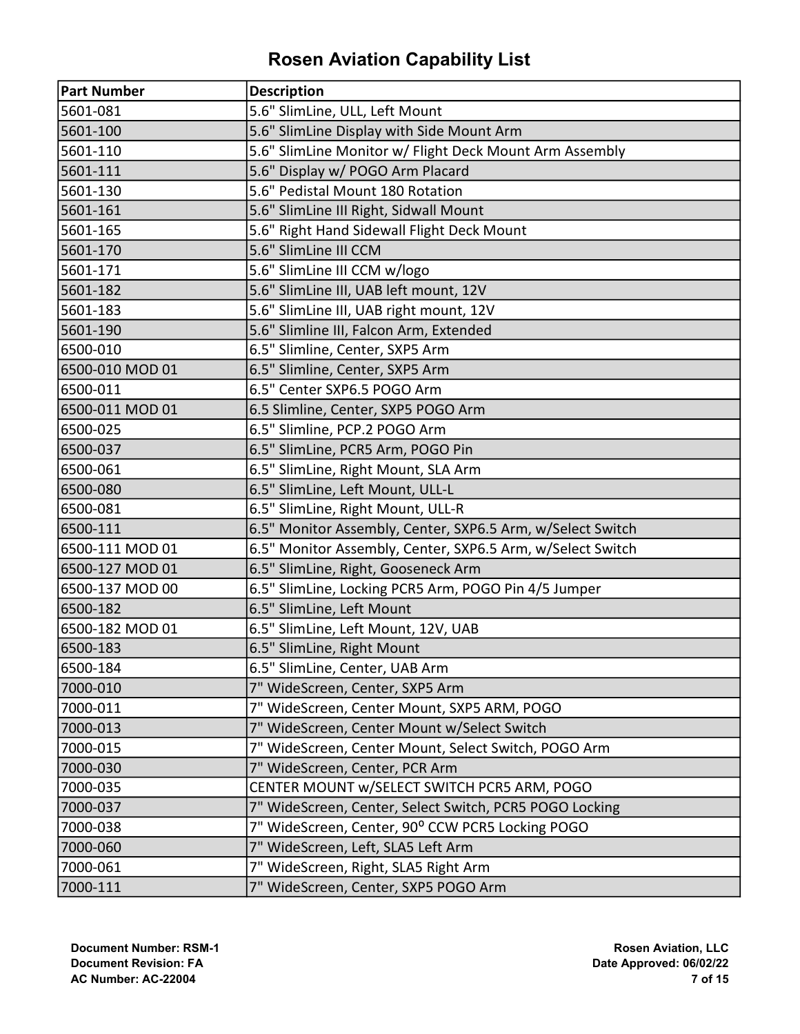| <b>Part Number</b> | <b>Description</b>                                         |
|--------------------|------------------------------------------------------------|
| 5601-081           | 5.6" SlimLine, ULL, Left Mount                             |
| 5601-100           | 5.6" SlimLine Display with Side Mount Arm                  |
| 5601-110           | 5.6" SlimLine Monitor w/ Flight Deck Mount Arm Assembly    |
| 5601-111           | 5.6" Display w/ POGO Arm Placard                           |
| 5601-130           | 5.6" Pedistal Mount 180 Rotation                           |
| 5601-161           | 5.6" SlimLine III Right, Sidwall Mount                     |
| 5601-165           | 5.6" Right Hand Sidewall Flight Deck Mount                 |
| 5601-170           | 5.6" SlimLine III CCM                                      |
| 5601-171           | 5.6" SlimLine III CCM w/logo                               |
| 5601-182           | 5.6" SlimLine III, UAB left mount, 12V                     |
| 5601-183           | 5.6" SlimLine III, UAB right mount, 12V                    |
| 5601-190           | 5.6" Slimline III, Falcon Arm, Extended                    |
| 6500-010           | 6.5" Slimline, Center, SXP5 Arm                            |
| 6500-010 MOD 01    | 6.5" Slimline, Center, SXP5 Arm                            |
| 6500-011           | 6.5" Center SXP6.5 POGO Arm                                |
| 6500-011 MOD 01    | 6.5 Slimline, Center, SXP5 POGO Arm                        |
| 6500-025           | 6.5" Slimline, PCP.2 POGO Arm                              |
| 6500-037           | 6.5" SlimLine, PCR5 Arm, POGO Pin                          |
| 6500-061           | 6.5" SlimLine, Right Mount, SLA Arm                        |
| 6500-080           | 6.5" SlimLine, Left Mount, ULL-L                           |
| 6500-081           | 6.5" SlimLine, Right Mount, ULL-R                          |
| 6500-111           | 6.5" Monitor Assembly, Center, SXP6.5 Arm, w/Select Switch |
| 6500-111 MOD 01    | 6.5" Monitor Assembly, Center, SXP6.5 Arm, w/Select Switch |
| 6500-127 MOD 01    | 6.5" SlimLine, Right, Gooseneck Arm                        |
| 6500-137 MOD 00    | 6.5" SlimLine, Locking PCR5 Arm, POGO Pin 4/5 Jumper       |
| 6500-182           | 6.5" SlimLine, Left Mount                                  |
| 6500-182 MOD 01    | 6.5" SlimLine, Left Mount, 12V, UAB                        |
| 6500-183           | 6.5" SlimLine, Right Mount                                 |
| 6500-184           | 6.5" SlimLine, Center, UAB Arm                             |
| 7000-010           | 7" WideScreen, Center, SXP5 Arm                            |
| 7000-011           | 7" WideScreen, Center Mount, SXP5 ARM, POGO                |
| 7000-013           | 7" WideScreen, Center Mount w/Select Switch                |
| 7000-015           | 7" WideScreen, Center Mount, Select Switch, POGO Arm       |
| 7000-030           | 7" WideScreen, Center, PCR Arm                             |
| 7000-035           | CENTER MOUNT w/SELECT SWITCH PCR5 ARM, POGO                |
| 7000-037           | 7" WideScreen, Center, Select Switch, PCR5 POGO Locking    |
| 7000-038           | 7" WideScreen, Center, 90° CCW PCR5 Locking POGO           |
| 7000-060           | 7" WideScreen, Left, SLA5 Left Arm                         |
| 7000-061           | 7" WideScreen, Right, SLA5 Right Arm                       |
| 7000-111           | 7" WideScreen, Center, SXP5 POGO Arm                       |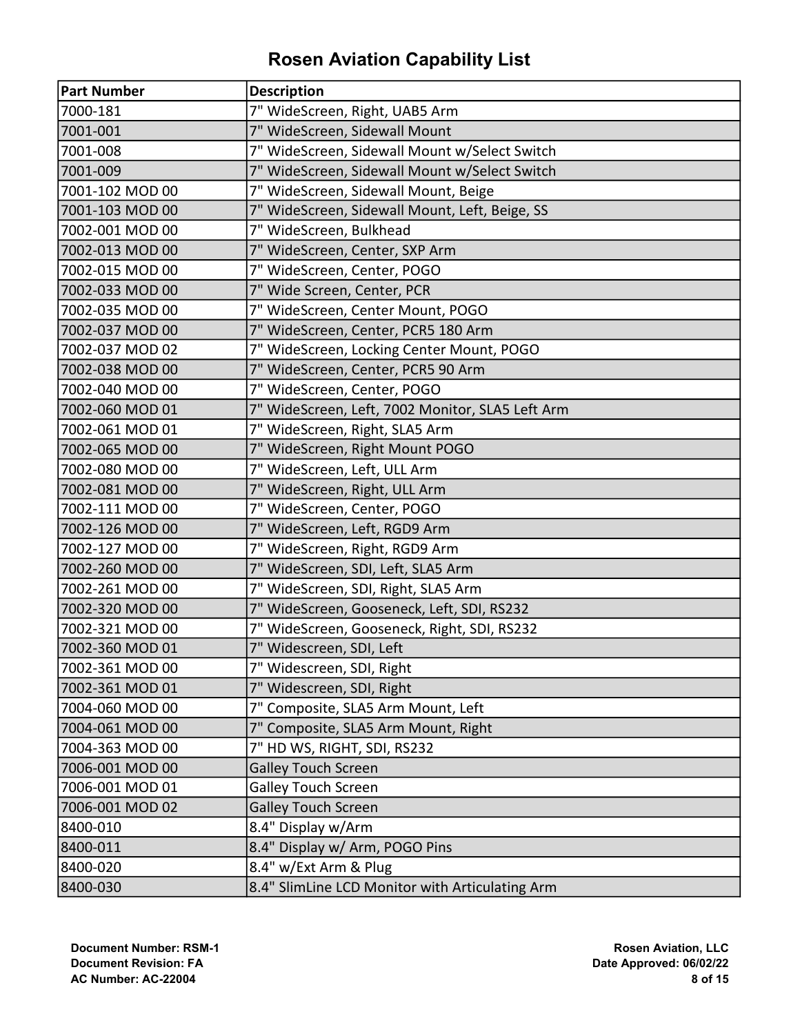| <b>Part Number</b> | <b>Description</b>                               |
|--------------------|--------------------------------------------------|
| 7000-181           | 7" WideScreen, Right, UAB5 Arm                   |
| 7001-001           | 7" WideScreen, Sidewall Mount                    |
| 7001-008           | 7" WideScreen, Sidewall Mount w/Select Switch    |
| 7001-009           | 7" WideScreen, Sidewall Mount w/Select Switch    |
| 7001-102 MOD 00    | 7" WideScreen, Sidewall Mount, Beige             |
| 7001-103 MOD 00    | 7" WideScreen, Sidewall Mount, Left, Beige, SS   |
| 7002-001 MOD 00    | 7" WideScreen, Bulkhead                          |
| 7002-013 MOD 00    | 7" WideScreen, Center, SXP Arm                   |
| 7002-015 MOD 00    | 7" WideScreen, Center, POGO                      |
| 7002-033 MOD 00    | 7" Wide Screen, Center, PCR                      |
| 7002-035 MOD 00    | 7" WideScreen, Center Mount, POGO                |
| 7002-037 MOD 00    | 7" WideScreen, Center, PCR5 180 Arm              |
| 7002-037 MOD 02    | 7" WideScreen, Locking Center Mount, POGO        |
| 7002-038 MOD 00    | 7" WideScreen, Center, PCR5 90 Arm               |
| 7002-040 MOD 00    | 7" WideScreen, Center, POGO                      |
| 7002-060 MOD 01    | 7" WideScreen, Left, 7002 Monitor, SLA5 Left Arm |
| 7002-061 MOD 01    | 7" WideScreen, Right, SLA5 Arm                   |
| 7002-065 MOD 00    | 7" WideScreen, Right Mount POGO                  |
| 7002-080 MOD 00    | 7" WideScreen, Left, ULL Arm                     |
| 7002-081 MOD 00    | 7" WideScreen, Right, ULL Arm                    |
| 7002-111 MOD 00    | 7" WideScreen, Center, POGO                      |
| 7002-126 MOD 00    | 7" WideScreen, Left, RGD9 Arm                    |
| 7002-127 MOD 00    | 7" WideScreen, Right, RGD9 Arm                   |
| 7002-260 MOD 00    | 7" WideScreen, SDI, Left, SLA5 Arm               |
| 7002-261 MOD 00    | 7" WideScreen, SDI, Right, SLA5 Arm              |
| 7002-320 MOD 00    | 7" WideScreen, Gooseneck, Left, SDI, RS232       |
| 7002-321 MOD 00    | 7" WideScreen, Gooseneck, Right, SDI, RS232      |
| 7002-360 MOD 01    | 7" Widescreen, SDI, Left                         |
| 7002-361 MOD 00    | 7" Widescreen, SDI, Right                        |
| 7002-361 MOD 01    | 7" Widescreen, SDI, Right                        |
| 7004-060 MOD 00    | 7" Composite, SLA5 Arm Mount, Left               |
| 7004-061 MOD 00    | 7" Composite, SLA5 Arm Mount, Right              |
| 7004-363 MOD 00    | 7" HD WS, RIGHT, SDI, RS232                      |
| 7006-001 MOD 00    | <b>Galley Touch Screen</b>                       |
| 7006-001 MOD 01    | <b>Galley Touch Screen</b>                       |
| 7006-001 MOD 02    | <b>Galley Touch Screen</b>                       |
| 8400-010           | 8.4" Display w/Arm                               |
| 8400-011           | 8.4" Display w/ Arm, POGO Pins                   |
| 8400-020           | 8.4" w/Ext Arm & Plug                            |
| 8400-030           | 8.4" SlimLine LCD Monitor with Articulating Arm  |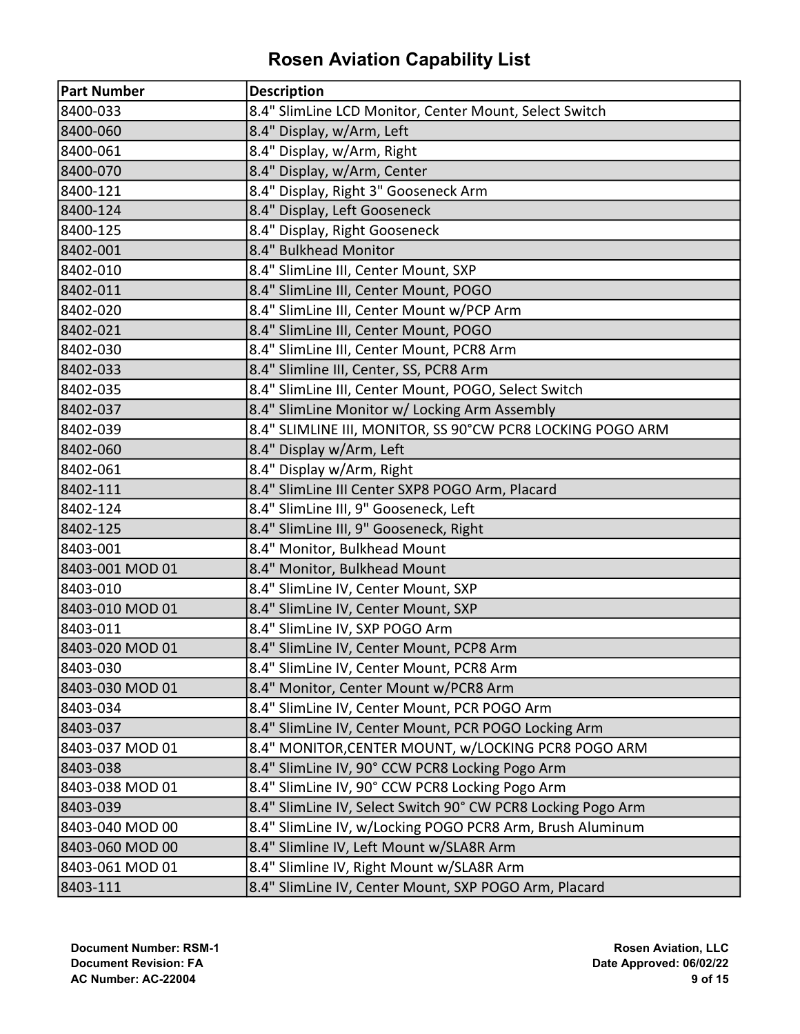| <b>Part Number</b> | <b>Description</b>                                           |
|--------------------|--------------------------------------------------------------|
| 8400-033           | 8.4" SlimLine LCD Monitor, Center Mount, Select Switch       |
| 8400-060           | 8.4" Display, w/Arm, Left                                    |
| 8400-061           | 8.4" Display, w/Arm, Right                                   |
| 8400-070           | 8.4" Display, w/Arm, Center                                  |
| 8400-121           | 8.4" Display, Right 3" Gooseneck Arm                         |
| 8400-124           | 8.4" Display, Left Gooseneck                                 |
| 8400-125           | 8.4" Display, Right Gooseneck                                |
| 8402-001           | 8.4" Bulkhead Monitor                                        |
| 8402-010           | 8.4" SlimLine III, Center Mount, SXP                         |
| 8402-011           | 8.4" SlimLine III, Center Mount, POGO                        |
| 8402-020           | 8.4" SlimLine III, Center Mount w/PCP Arm                    |
| 8402-021           | 8.4" SlimLine III, Center Mount, POGO                        |
| 8402-030           | 8.4" SlimLine III, Center Mount, PCR8 Arm                    |
| 8402-033           | 8.4" Slimline III, Center, SS, PCR8 Arm                      |
| 8402-035           | 8.4" SlimLine III, Center Mount, POGO, Select Switch         |
| 8402-037           | 8.4" SlimLine Monitor w/ Locking Arm Assembly                |
| 8402-039           | 8.4" SLIMLINE III, MONITOR, SS 90°CW PCR8 LOCKING POGO ARM   |
| 8402-060           | 8.4" Display w/Arm, Left                                     |
| 8402-061           | 8.4" Display w/Arm, Right                                    |
| 8402-111           | 8.4" SlimLine III Center SXP8 POGO Arm, Placard              |
| 8402-124           | 8.4" SlimLine III, 9" Gooseneck, Left                        |
| 8402-125           | 8.4" SlimLine III, 9" Gooseneck, Right                       |
| 8403-001           | 8.4" Monitor, Bulkhead Mount                                 |
| 8403-001 MOD 01    | 8.4" Monitor, Bulkhead Mount                                 |
| 8403-010           | 8.4" SlimLine IV, Center Mount, SXP                          |
| 8403-010 MOD 01    | 8.4" SlimLine IV, Center Mount, SXP                          |
| 8403-011           | 8.4" SlimLine IV, SXP POGO Arm                               |
| 8403-020 MOD 01    | 8.4" SlimLine IV, Center Mount, PCP8 Arm                     |
| 8403-030           | 8.4" SlimLine IV, Center Mount, PCR8 Arm                     |
| 8403-030 MOD 01    | 8.4" Monitor, Center Mount w/PCR8 Arm                        |
| 8403-034           | 8.4" SlimLine IV, Center Mount, PCR POGO Arm                 |
| 8403-037           | 8.4" SlimLine IV, Center Mount, PCR POGO Locking Arm         |
| 8403-037 MOD 01    | 8.4" MONITOR, CENTER MOUNT, w/LOCKING PCR8 POGO ARM          |
| 8403-038           | 8.4" SlimLine IV, 90° CCW PCR8 Locking Pogo Arm              |
| 8403-038 MOD 01    | 8.4" SlimLine IV, 90° CCW PCR8 Locking Pogo Arm              |
| 8403-039           | 8.4" SlimLine IV, Select Switch 90° CW PCR8 Locking Pogo Arm |
| 8403-040 MOD 00    | 8.4" SlimLine IV, w/Locking POGO PCR8 Arm, Brush Aluminum    |
| 8403-060 MOD 00    | 8.4" Slimline IV, Left Mount w/SLA8R Arm                     |
| 8403-061 MOD 01    | 8.4" Slimline IV, Right Mount w/SLA8R Arm                    |
| 8403-111           | 8.4" SlimLine IV, Center Mount, SXP POGO Arm, Placard        |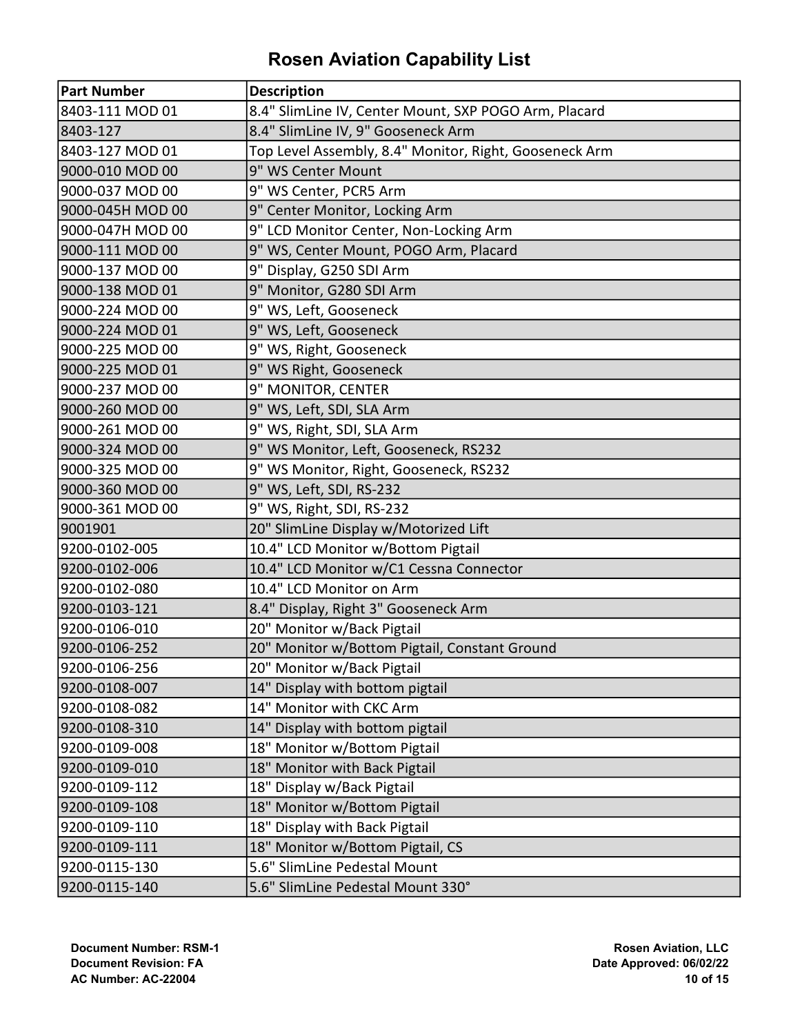| Part Number      | <b>Description</b>                                     |
|------------------|--------------------------------------------------------|
| 8403-111 MOD 01  | 8.4" SlimLine IV, Center Mount, SXP POGO Arm, Placard  |
| 8403-127         | 8.4" SlimLine IV, 9" Gooseneck Arm                     |
| 8403-127 MOD 01  | Top Level Assembly, 8.4" Monitor, Right, Gooseneck Arm |
| 9000-010 MOD 00  | 9" WS Center Mount                                     |
| 9000-037 MOD 00  | 9" WS Center, PCR5 Arm                                 |
| 9000-045H MOD 00 | 9" Center Monitor, Locking Arm                         |
| 9000-047H MOD 00 | 9" LCD Monitor Center, Non-Locking Arm                 |
| 9000-111 MOD 00  | 9" WS, Center Mount, POGO Arm, Placard                 |
| 9000-137 MOD 00  | 9" Display, G250 SDI Arm                               |
| 9000-138 MOD 01  | 9" Monitor, G280 SDI Arm                               |
| 9000-224 MOD 00  | 9" WS, Left, Gooseneck                                 |
| 9000-224 MOD 01  | 9" WS, Left, Gooseneck                                 |
| 9000-225 MOD 00  | 9" WS, Right, Gooseneck                                |
| 9000-225 MOD 01  | 9" WS Right, Gooseneck                                 |
| 9000-237 MOD 00  | 9" MONITOR, CENTER                                     |
| 9000-260 MOD 00  | 9" WS, Left, SDI, SLA Arm                              |
| 9000-261 MOD 00  | 9" WS, Right, SDI, SLA Arm                             |
| 9000-324 MOD 00  | 9" WS Monitor, Left, Gooseneck, RS232                  |
| 9000-325 MOD 00  | 9" WS Monitor, Right, Gooseneck, RS232                 |
| 9000-360 MOD 00  | 9" WS, Left, SDI, RS-232                               |
| 9000-361 MOD 00  | 9" WS, Right, SDI, RS-232                              |
| 9001901          | 20" SlimLine Display w/Motorized Lift                  |
| 9200-0102-005    | 10.4" LCD Monitor w/Bottom Pigtail                     |
| 9200-0102-006    | 10.4" LCD Monitor w/C1 Cessna Connector                |
| 9200-0102-080    | 10.4" LCD Monitor on Arm                               |
| 9200-0103-121    | 8.4" Display, Right 3" Gooseneck Arm                   |
| 9200-0106-010    | 20" Monitor w/Back Pigtail                             |
| 9200-0106-252    | 20" Monitor w/Bottom Pigtail, Constant Ground          |
| 9200-0106-256    | 20" Monitor w/Back Pigtail                             |
| 9200-0108-007    | 14" Display with bottom pigtail                        |
| 9200-0108-082    | 14" Monitor with CKC Arm                               |
| 9200-0108-310    | 14" Display with bottom pigtail                        |
| 9200-0109-008    | 18" Monitor w/Bottom Pigtail                           |
| 9200-0109-010    | 18" Monitor with Back Pigtail                          |
| 9200-0109-112    | 18" Display w/Back Pigtail                             |
| 9200-0109-108    | 18" Monitor w/Bottom Pigtail                           |
| 9200-0109-110    | 18" Display with Back Pigtail                          |
| 9200-0109-111    | 18" Monitor w/Bottom Pigtail, CS                       |
| 9200-0115-130    | 5.6" SlimLine Pedestal Mount                           |
| 9200-0115-140    | 5.6" SlimLine Pedestal Mount 330°                      |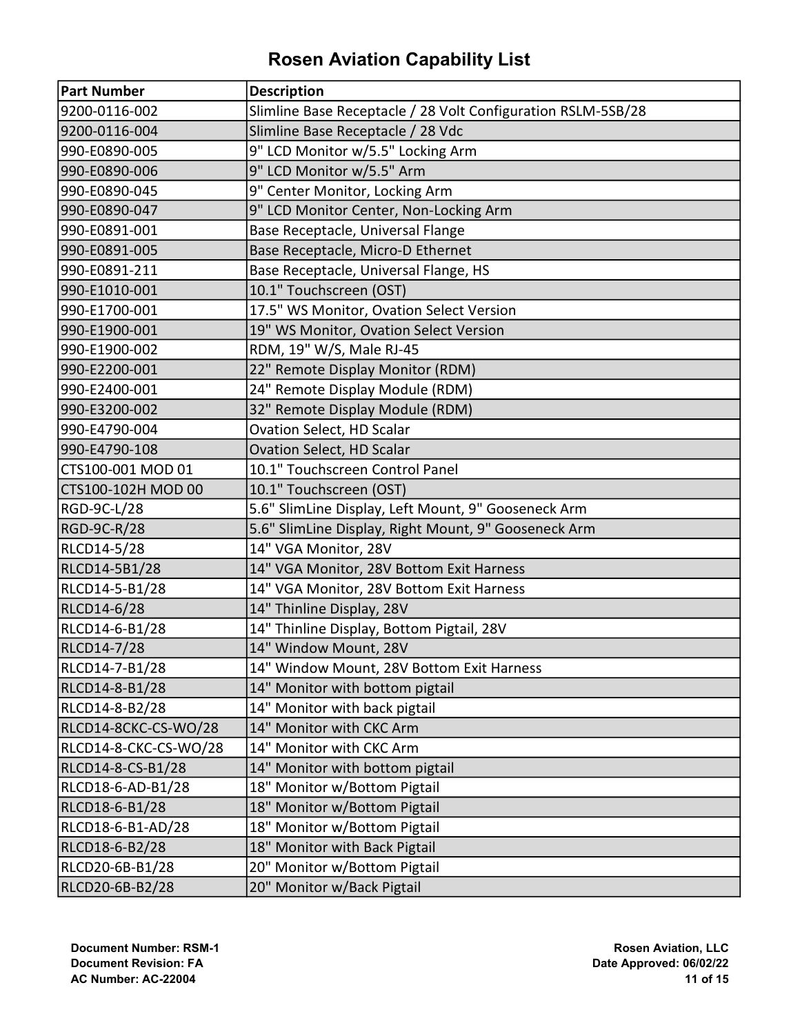| <b>Part Number</b>    | <b>Description</b>                                           |
|-----------------------|--------------------------------------------------------------|
| 9200-0116-002         | Slimline Base Receptacle / 28 Volt Configuration RSLM-5SB/28 |
| 9200-0116-004         | Slimline Base Receptacle / 28 Vdc                            |
| 990-E0890-005         | 9" LCD Monitor w/5.5" Locking Arm                            |
| 990-E0890-006         | 9" LCD Monitor w/5.5" Arm                                    |
| 990-E0890-045         | 9" Center Monitor, Locking Arm                               |
| 990-E0890-047         | 9" LCD Monitor Center, Non-Locking Arm                       |
| 990-E0891-001         | Base Receptacle, Universal Flange                            |
| 990-E0891-005         | Base Receptacle, Micro-D Ethernet                            |
| 990-E0891-211         | Base Receptacle, Universal Flange, HS                        |
| 990-E1010-001         | 10.1" Touchscreen (OST)                                      |
| 990-E1700-001         | 17.5" WS Monitor, Ovation Select Version                     |
| 990-E1900-001         | 19" WS Monitor, Ovation Select Version                       |
| 990-E1900-002         | RDM, 19" W/S, Male RJ-45                                     |
| 990-E2200-001         | 22" Remote Display Monitor (RDM)                             |
| 990-E2400-001         | 24" Remote Display Module (RDM)                              |
| 990-E3200-002         | 32" Remote Display Module (RDM)                              |
| 990-E4790-004         | Ovation Select, HD Scalar                                    |
| 990-E4790-108         | Ovation Select, HD Scalar                                    |
| CTS100-001 MOD 01     | 10.1" Touchscreen Control Panel                              |
| CTS100-102H MOD 00    | 10.1" Touchscreen (OST)                                      |
| RGD-9C-L/28           | 5.6" SlimLine Display, Left Mount, 9" Gooseneck Arm          |
| RGD-9C-R/28           | 5.6" SlimLine Display, Right Mount, 9" Gooseneck Arm         |
| RLCD14-5/28           | 14" VGA Monitor, 28V                                         |
| RLCD14-5B1/28         | 14" VGA Monitor, 28V Bottom Exit Harness                     |
| RLCD14-5-B1/28        | 14" VGA Monitor, 28V Bottom Exit Harness                     |
| RLCD14-6/28           | 14" Thinline Display, 28V                                    |
| RLCD14-6-B1/28        | 14" Thinline Display, Bottom Pigtail, 28V                    |
| RLCD14-7/28           | 14" Window Mount, 28V                                        |
| RLCD14-7-B1/28        | 14" Window Mount, 28V Bottom Exit Harness                    |
| RLCD14-8-B1/28        | 14" Monitor with bottom pigtail                              |
| RLCD14-8-B2/28        | 14" Monitor with back pigtail                                |
| RLCD14-8CKC-CS-WO/28  | 14" Monitor with CKC Arm                                     |
| RLCD14-8-CKC-CS-WO/28 | 14" Monitor with CKC Arm                                     |
| RLCD14-8-CS-B1/28     | 14" Monitor with bottom pigtail                              |
| RLCD18-6-AD-B1/28     | 18" Monitor w/Bottom Pigtail                                 |
| RLCD18-6-B1/28        | 18" Monitor w/Bottom Pigtail                                 |
| RLCD18-6-B1-AD/28     | 18" Monitor w/Bottom Pigtail                                 |
| RLCD18-6-B2/28        | 18" Monitor with Back Pigtail                                |
| RLCD20-6B-B1/28       | 20" Monitor w/Bottom Pigtail                                 |
| RLCD20-6B-B2/28       | 20" Monitor w/Back Pigtail                                   |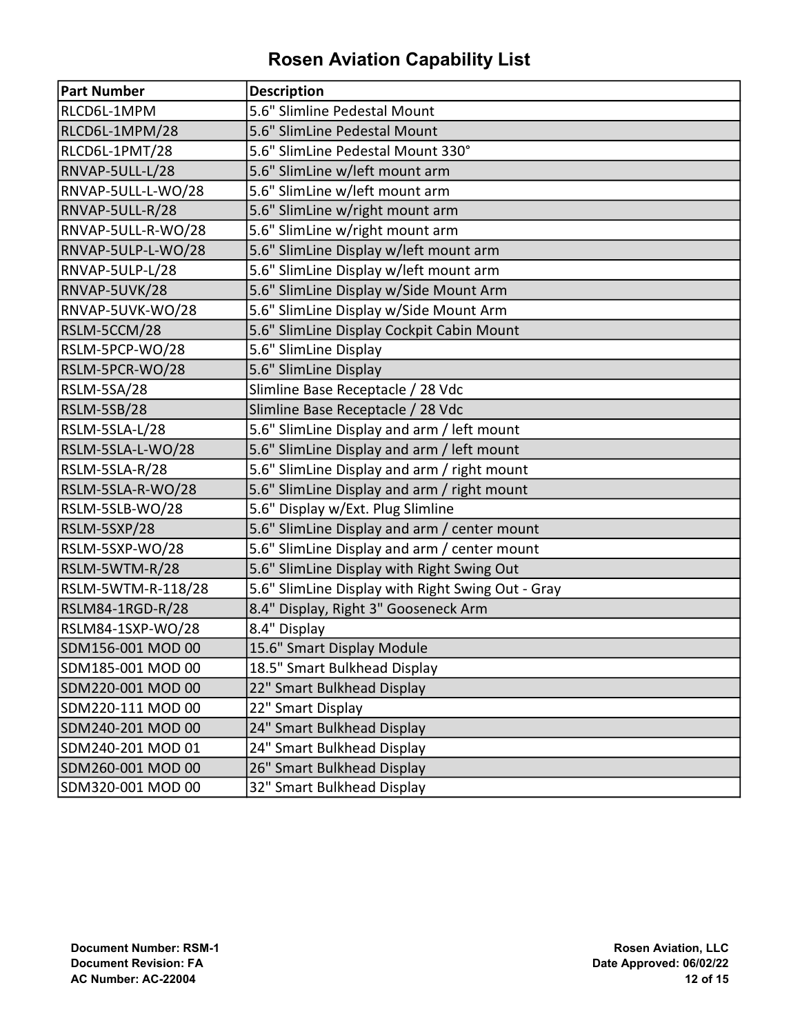| <b>Part Number</b> | <b>Description</b>                                |
|--------------------|---------------------------------------------------|
| RLCD6L-1MPM        | 5.6" Slimline Pedestal Mount                      |
| RLCD6L-1MPM/28     | 5.6" SlimLine Pedestal Mount                      |
| RLCD6L-1PMT/28     | 5.6" SlimLine Pedestal Mount 330°                 |
| RNVAP-5ULL-L/28    | 5.6" SlimLine w/left mount arm                    |
| RNVAP-5ULL-L-WO/28 | 5.6" SlimLine w/left mount arm                    |
| RNVAP-5ULL-R/28    | 5.6" SlimLine w/right mount arm                   |
| RNVAP-5ULL-R-WO/28 | 5.6" SlimLine w/right mount arm                   |
| RNVAP-5ULP-L-WO/28 | 5.6" SlimLine Display w/left mount arm            |
| RNVAP-5ULP-L/28    | 5.6" SlimLine Display w/left mount arm            |
| RNVAP-5UVK/28      | 5.6" SlimLine Display w/Side Mount Arm            |
| RNVAP-5UVK-WO/28   | 5.6" SlimLine Display w/Side Mount Arm            |
| RSLM-5CCM/28       | 5.6" SlimLine Display Cockpit Cabin Mount         |
| RSLM-5PCP-WO/28    | 5.6" SlimLine Display                             |
| RSLM-5PCR-WO/28    | 5.6" SlimLine Display                             |
| RSLM-5SA/28        | Slimline Base Receptacle / 28 Vdc                 |
| RSLM-5SB/28        | Slimline Base Receptacle / 28 Vdc                 |
| RSLM-5SLA-L/28     | 5.6" SlimLine Display and arm / left mount        |
| RSLM-5SLA-L-WO/28  | 5.6" SlimLine Display and arm / left mount        |
| RSLM-5SLA-R/28     | 5.6" SlimLine Display and arm / right mount       |
| RSLM-5SLA-R-WO/28  | 5.6" SlimLine Display and arm / right mount       |
| RSLM-5SLB-WO/28    | 5.6" Display w/Ext. Plug Slimline                 |
| RSLM-5SXP/28       | 5.6" SlimLine Display and arm / center mount      |
| RSLM-5SXP-WO/28    | 5.6" SlimLine Display and arm / center mount      |
| RSLM-5WTM-R/28     | 5.6" SlimLine Display with Right Swing Out        |
| RSLM-5WTM-R-118/28 | 5.6" SlimLine Display with Right Swing Out - Gray |
| RSLM84-1RGD-R/28   | 8.4" Display, Right 3" Gooseneck Arm              |
| RSLM84-1SXP-WO/28  | 8.4" Display                                      |
| SDM156-001 MOD 00  | 15.6" Smart Display Module                        |
| SDM185-001 MOD 00  | 18.5" Smart Bulkhead Display                      |
| SDM220-001 MOD 00  | 22" Smart Bulkhead Display                        |
| SDM220-111 MOD 00  | 22" Smart Display                                 |
| SDM240-201 MOD 00  | 24" Smart Bulkhead Display                        |
| SDM240-201 MOD 01  | 24" Smart Bulkhead Display                        |
| SDM260-001 MOD 00  | 26" Smart Bulkhead Display                        |
| SDM320-001 MOD 00  | 32" Smart Bulkhead Display                        |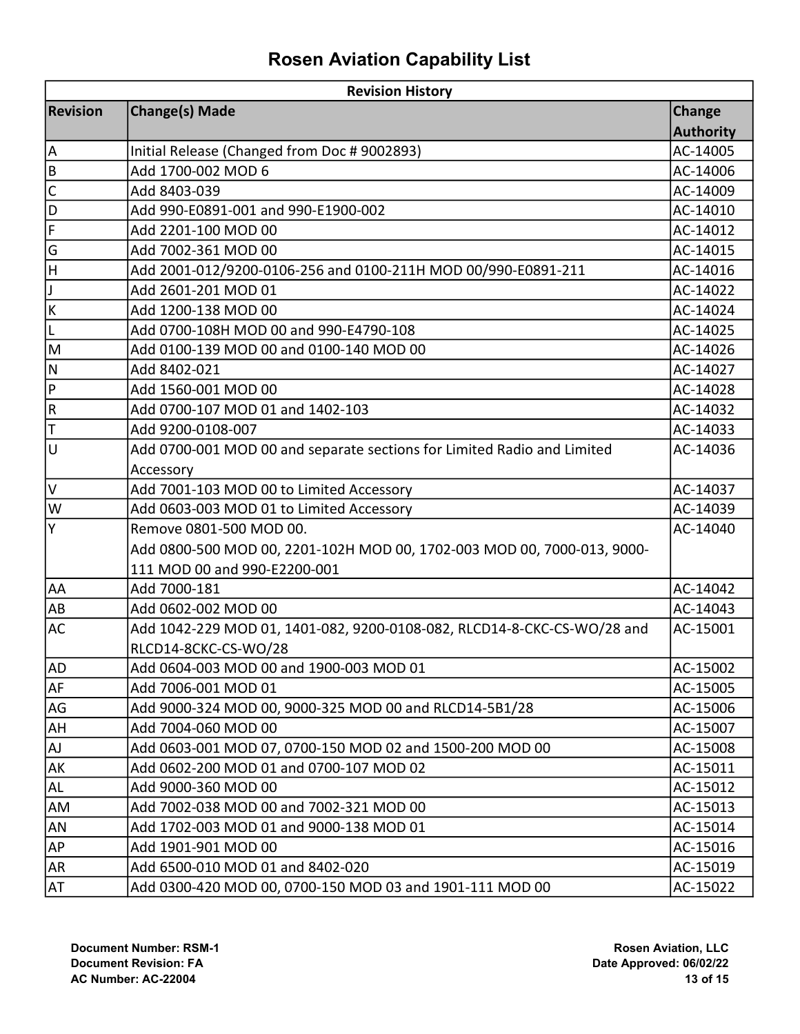| <b>Revision History</b>      |                                                                         |                  |  |
|------------------------------|-------------------------------------------------------------------------|------------------|--|
| <b>Revision</b>              | <b>Change(s) Made</b>                                                   |                  |  |
|                              |                                                                         | <b>Authority</b> |  |
| A                            | Initial Release (Changed from Doc # 9002893)                            | AC-14005         |  |
| B                            | Add 1700-002 MOD 6                                                      | AC-14006         |  |
| $\mathsf C$                  | Add 8403-039                                                            | AC-14009         |  |
| D                            | Add 990-E0891-001 and 990-E1900-002                                     | AC-14010         |  |
| $\overline{\mathsf{F}}$      | Add 2201-100 MOD 00                                                     | AC-14012         |  |
| G                            | Add 7002-361 MOD 00                                                     | AC-14015         |  |
| H                            | Add 2001-012/9200-0106-256 and 0100-211H MOD 00/990-E0891-211           | AC-14016         |  |
| IJ                           | Add 2601-201 MOD 01                                                     | AC-14022         |  |
| К                            | Add 1200-138 MOD 00                                                     | AC-14024         |  |
| ΙL                           | Add 0700-108H MOD 00 and 990-E4790-108                                  | AC-14025         |  |
| ΙM                           | Add 0100-139 MOD 00 and 0100-140 MOD 00                                 | AC-14026         |  |
| N                            | Add 8402-021                                                            | AC-14027         |  |
| $\mathsf{P}$                 | Add 1560-001 MOD 00                                                     | AC-14028         |  |
| $\mathsf R$                  | Add 0700-107 MOD 01 and 1402-103                                        | AC-14032         |  |
| T                            | Add 9200-0108-007                                                       | AC-14033         |  |
| lu                           | Add 0700-001 MOD 00 and separate sections for Limited Radio and Limited | AC-14036         |  |
|                              | Accessory                                                               |                  |  |
| l٧                           | Add 7001-103 MOD 00 to Limited Accessory                                | AC-14037         |  |
| W                            | Add 0603-003 MOD 01 to Limited Accessory                                | AC-14039         |  |
| Y                            | Remove 0801-500 MOD 00.                                                 | AC-14040         |  |
|                              | Add 0800-500 MOD 00, 2201-102H MOD 00, 1702-003 MOD 00, 7000-013, 9000- |                  |  |
|                              | 111 MOD 00 and 990-E2200-001                                            |                  |  |
| AA                           | Add 7000-181                                                            | AC-14042         |  |
| AB                           | Add 0602-002 MOD 00                                                     | AC-14043         |  |
| <b>AC</b>                    | Add 1042-229 MOD 01, 1401-082, 9200-0108-082, RLCD14-8-CKC-CS-WO/28 and | AC-15001         |  |
|                              | RLCD14-8CKC-CS-WO/28                                                    |                  |  |
| <b>AD</b>                    | Add 0604-003 MOD 00 and 1900-003 MOD 01                                 | AC-15002         |  |
| AF                           | Add 7006-001 MOD 01                                                     | AC-15005         |  |
| AG                           | Add 9000-324 MOD 00, 9000-325 MOD 00 and RLCD14-5B1/28                  | AC-15006         |  |
| AH                           | Add 7004-060 MOD 00                                                     | AC-15007         |  |
| $\operatorname{\mathsf{AJ}}$ | Add 0603-001 MOD 07, 0700-150 MOD 02 and 1500-200 MOD 00                | AC-15008         |  |
| AK                           | Add 0602-200 MOD 01 and 0700-107 MOD 02                                 | AC-15011         |  |
| AL                           | Add 9000-360 MOD 00                                                     | AC-15012         |  |
| AM                           | Add 7002-038 MOD 00 and 7002-321 MOD 00                                 | AC-15013         |  |
| AN                           | Add 1702-003 MOD 01 and 9000-138 MOD 01                                 | AC-15014         |  |
| AP                           | Add 1901-901 MOD 00                                                     | AC-15016         |  |
| AR <sub></sub>               | Add 6500-010 MOD 01 and 8402-020                                        | AC-15019         |  |
| AT                           | Add 0300-420 MOD 00, 0700-150 MOD 03 and 1901-111 MOD 00                | AC-15022         |  |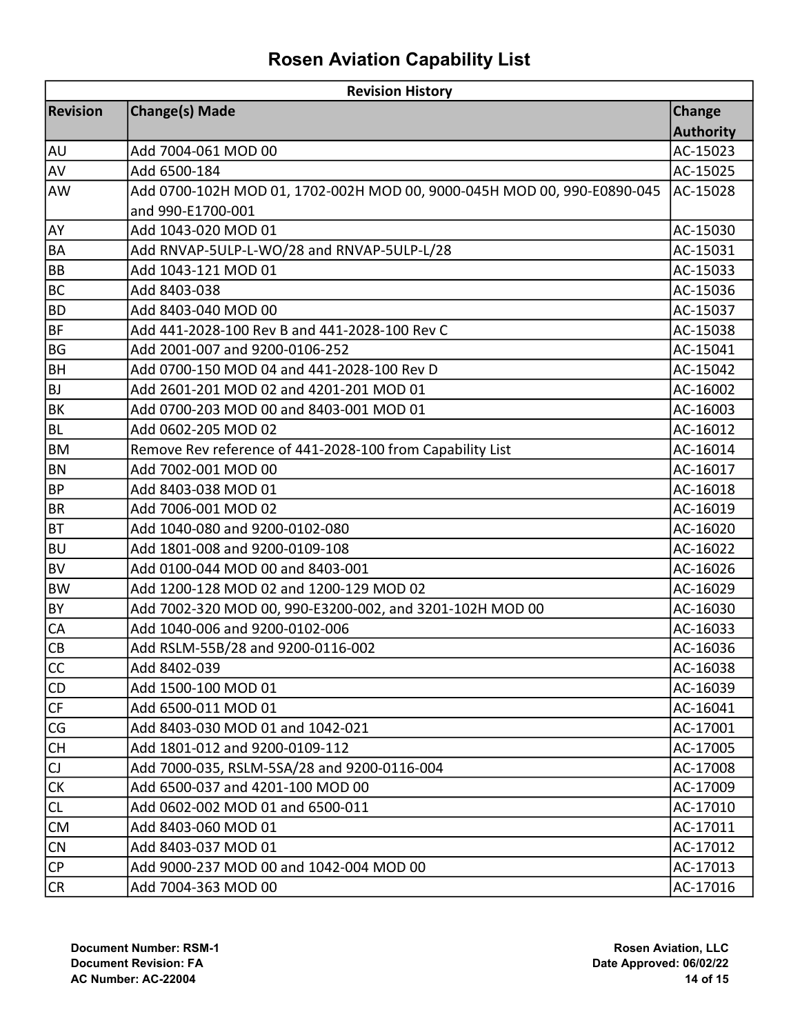| <b>Revision History</b> |                                                                         |                  |  |
|-------------------------|-------------------------------------------------------------------------|------------------|--|
| <b>Revision</b>         | <b>Change(s) Made</b>                                                   | <b>Change</b>    |  |
|                         |                                                                         | <b>Authority</b> |  |
| <b>AU</b>               | Add 7004-061 MOD 00                                                     | AC-15023         |  |
| AV                      | Add 6500-184                                                            | AC-15025         |  |
| AW                      | Add 0700-102H MOD 01, 1702-002H MOD 00, 9000-045H MOD 00, 990-E0890-045 | AC-15028         |  |
|                         | and 990-E1700-001                                                       |                  |  |
| AY                      | Add 1043-020 MOD 01                                                     | AC-15030         |  |
| <b>BA</b>               | Add RNVAP-5ULP-L-WO/28 and RNVAP-5ULP-L/28                              | AC-15031         |  |
| <b>BB</b>               | Add 1043-121 MOD 01                                                     | AC-15033         |  |
| <b>BC</b>               | Add 8403-038                                                            | AC-15036         |  |
| <b>BD</b>               | Add 8403-040 MOD 00                                                     | AC-15037         |  |
| BF                      | Add 441-2028-100 Rev B and 441-2028-100 Rev C                           | AC-15038         |  |
| BG                      | Add 2001-007 and 9200-0106-252                                          | AC-15041         |  |
| <b>BH</b>               | Add 0700-150 MOD 04 and 441-2028-100 Rev D                              | AC-15042         |  |
| <b>BJ</b>               | Add 2601-201 MOD 02 and 4201-201 MOD 01                                 | AC-16002         |  |
| <b>BK</b>               | Add 0700-203 MOD 00 and 8403-001 MOD 01                                 | AC-16003         |  |
| <b>BL</b>               | Add 0602-205 MOD 02                                                     | AC-16012         |  |
| <b>BM</b>               | Remove Rev reference of 441-2028-100 from Capability List               | AC-16014         |  |
| BN                      | Add 7002-001 MOD 00                                                     | AC-16017         |  |
| <b>BP</b>               | Add 8403-038 MOD 01                                                     | AC-16018         |  |
| <b>BR</b>               | Add 7006-001 MOD 02                                                     | AC-16019         |  |
| <b>BT</b>               | Add 1040-080 and 9200-0102-080                                          | AC-16020         |  |
| BU                      | Add 1801-008 and 9200-0109-108                                          | AC-16022         |  |
| <b>BV</b>               | Add 0100-044 MOD 00 and 8403-001                                        | AC-16026         |  |
| <b>BW</b>               | Add 1200-128 MOD 02 and 1200-129 MOD 02                                 | AC-16029         |  |
| BY)                     | Add 7002-320 MOD 00, 990-E3200-002, and 3201-102H MOD 00                | AC-16030         |  |
| <b>CA</b>               | Add 1040-006 and 9200-0102-006                                          | AC-16033         |  |
| <b>CB</b>               | Add RSLM-55B/28 and 9200-0116-002                                       | AC-16036         |  |
| $\overline{cc}$         | Add 8402-039                                                            | AC-16038         |  |
| CD                      | Add 1500-100 MOD 01                                                     | AC-16039         |  |
| CF                      | Add 6500-011 MOD 01                                                     | AC-16041         |  |
| CG                      | Add 8403-030 MOD 01 and 1042-021                                        | AC-17001         |  |
| <b>CH</b>               | Add 1801-012 and 9200-0109-112                                          | AC-17005         |  |
| $\mathsf{C}$            | Add 7000-035, RSLM-5SA/28 and 9200-0116-004                             | AC-17008         |  |
| <b>CK</b>               | Add 6500-037 and 4201-100 MOD 00                                        | AC-17009         |  |
| <b>CL</b>               | Add 0602-002 MOD 01 and 6500-011                                        | AC-17010         |  |
| <b>CM</b>               | Add 8403-060 MOD 01                                                     | AC-17011         |  |
| <b>CN</b>               | Add 8403-037 MOD 01                                                     | AC-17012         |  |
| <b>CP</b>               | Add 9000-237 MOD 00 and 1042-004 MOD 00                                 | AC-17013         |  |
| CR                      | Add 7004-363 MOD 00                                                     | AC-17016         |  |